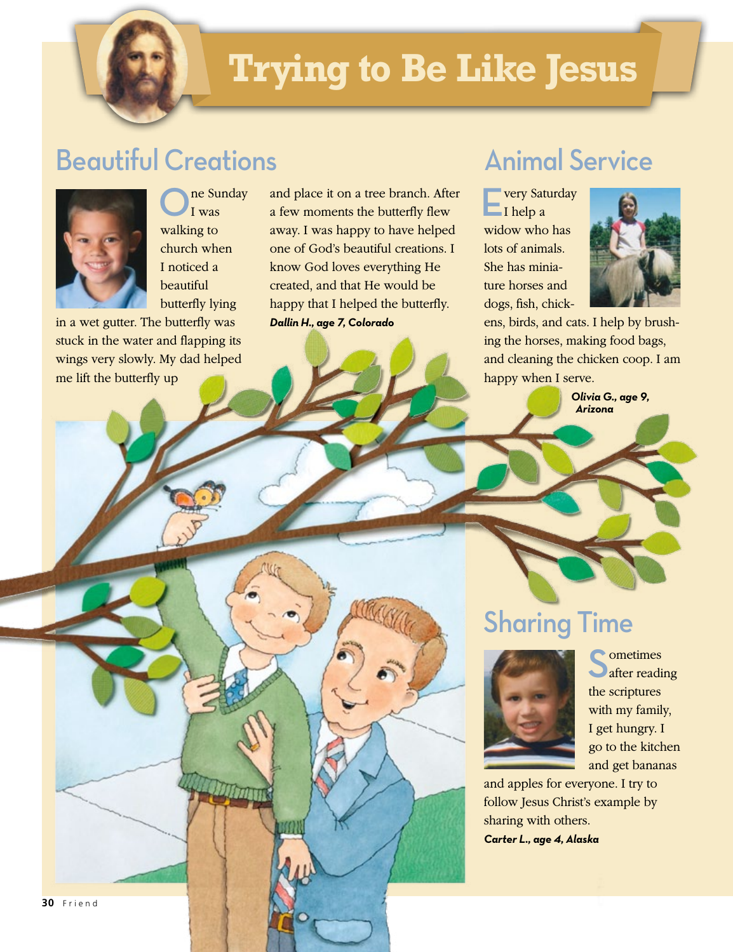

## **Trying to Be Like Jesus**

## Beautiful Creations



ne Sunday I was walking to church when I noticed a beautiful butterfly lying

in a wet gutter. The butterfly was stuck in the water and flapping its wings very slowly. My dad helped me lift the butterfly up

and place it on a tree branch. After a few moments the butterfly flew away. I was happy to have helped one of God's beautiful creations. I know God loves everything He created, and that He would be happy that I helped the butterfly. *Dallin H., age 7, Colorado*

## Animal Service

**Very Saturday**  $\blacksquare$  I help a widow who has lots of animals. She has miniature horses and dogs, fish, chick-



ens, birds, and cats. I help by brushing the horses, making food bags, and cleaning the chicken coop. I am happy when I serve.

> *Olivia G., age 9, Arizona*

# Sharing Time



Sometimes<br>Safter reading the scriptures with my family, I get hungry. I go to the kitchen and get bananas

and apples for everyone. I try to follow Jesus Christ's example by sharing with others. *Carter L., age 4, Alaska*